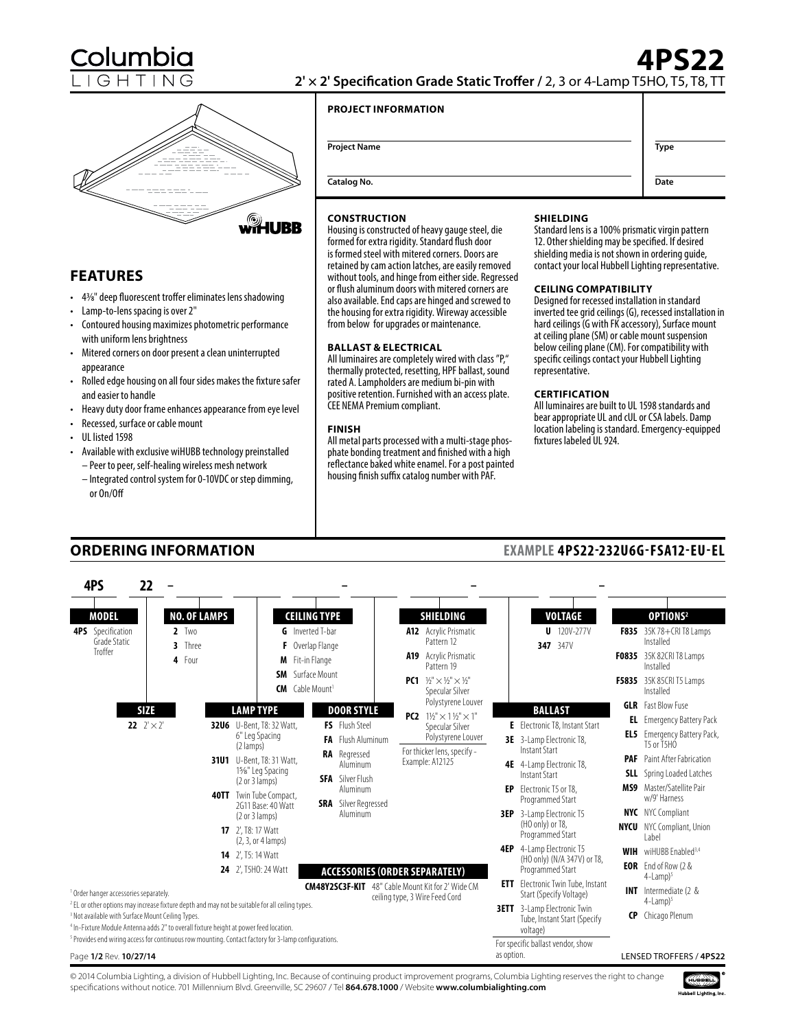

**FEATURES**

appearance

• UL listed 1598

or On/Off

and easier to handle

• Lamp-to-lens spacing is over 2"

with uniform lens brightness

• Recessed, surface or cable mount

# **2' × 2' Specification Grade Static Troffer /** 2, 3 or 4-Lamp T5HO, T5, T8, TT

## **PROJECT INFORMATION**

|       | <b>Project Name</b> | Type |
|-------|---------------------|------|
| $\gg$ | Catalog No.         | Date |

#### **CONSTRUCTION**

WHUBB

Housing is constructed of heavy gauge steel, die formed for extra rigidity. Standard flush door is formed steel with mitered corners. Doors are retained by cam action latches, are easily removed without tools, and hinge from either side. Regressed or flush aluminum doors with mitered corners are also available. End caps are hinged and screwed to the housing for extra rigidity. Wireway accessible from below for upgrades or maintenance.

#### **BALLAST & ELECTRICAL**

All luminaires are completely wired with class "P," thermally protected, resetting, HPF ballast, sound rated A. Lampholders are medium bi-pin with positive retention. Furnished with an access plate. CEE NEMA Premium compliant.

#### **FINISH**

All metal parts processed with a multi-stage phosphate bonding treatment and finished with a high reflectance baked white enamel. For a post painted housing finish suffix catalog number with PAF.

#### **SHIELDING**

Standard lens is a 100% prismatic virgin pattern 12. Other shielding may be specified. If desired shielding media is not shown in ordering guide, contact your local Hubbell Lighting representative.

#### **CEILING COMPATIBILITY**

Designed for recessed installation in standard inverted tee grid ceilings (G), recessed installation in hard ceilings (G with FK accessory), Surface mount at ceiling plane (SM) or cable mount suspension below ceiling plane (CM). For compatibility with specific ceilings contact your Hubbell Lighting representative.

#### **CERTIFICATION**

All luminaires are built to UL 1598 standards and bear appropriate UL and cUL or CSA labels. Damp location labeling is standard. Emergency-equipped fixtures labeled UL 924.

**EXAMPLE 4PS22-232U6G-FSA12-EU-EL**

# **ORDERING INFORMATION**

• 43/8" deep fluorescent troffer eliminates lens shadowing

• Contoured housing maximizes photometric performance

• Mitered corners on door present a clean uninterrupted

• Rolled edge housing on all four sides makes the fixture safer

• Heavy duty door frame enhances appearance from eye level

• Available with exclusive wiHUBB technology preinstalled – Peer to peer, self-healing wireless mesh network – Integrated control system for 0-10VDC or step dimming,

|  | 4PS                                                                                    | 22                                      |                   |         |                     |                                                                                                                                                                                                                                                                                             |                                                                                                                                                                               |                                       |     |                                                                                                                                                                                             |            |                                                                                                                                                                                                                                                                                    |     |                                                                                                                                                                                                                                                                                                                |
|--|----------------------------------------------------------------------------------------|-----------------------------------------|-------------------|---------|---------------------|---------------------------------------------------------------------------------------------------------------------------------------------------------------------------------------------------------------------------------------------------------------------------------------------|-------------------------------------------------------------------------------------------------------------------------------------------------------------------------------|---------------------------------------|-----|---------------------------------------------------------------------------------------------------------------------------------------------------------------------------------------------|------------|------------------------------------------------------------------------------------------------------------------------------------------------------------------------------------------------------------------------------------------------------------------------------------|-----|----------------------------------------------------------------------------------------------------------------------------------------------------------------------------------------------------------------------------------------------------------------------------------------------------------------|
|  | <b>MODEL</b><br><b>4PS</b> Specification<br>Grade Static<br>Troffer                    |                                         | $2$ Two<br>4 Four | 3 Three | <b>NO. OF LAMPS</b> |                                                                                                                                                                                                                                                                                             | <b>CEILING TYPE</b><br><b>G</b> Inverted T-bar<br>F Overlap Flange<br>M Fit-in Flange                                                                                         |                                       | A19 | SHIELDING<br>A12 Acrylic Prismatic<br>Pattern 12<br>Acrylic Prismatic<br>Pattern 19                                                                                                         |            | <b>VOLTAGE</b><br>$U$ 120V-277V<br>347 347V                                                                                                                                                                                                                                        |     | OPTIONS <sup>2</sup><br>F835 35K 78+CRI T8 Lamps<br>Installed<br>F0835 35K 82CRI T8 Lamps<br>Installed                                                                                                                                                                                                         |
|  |                                                                                        |                                         |                   |         |                     |                                                                                                                                                                                                                                                                                             | <b>SM</b> Surface Mount<br><b>CM</b> Cable Mount <sup>1</sup>                                                                                                                 |                                       |     | <b>PC1</b> $1/5$ " $\times$ 1/ <sub>3</sub> " $\times$ 1/ <sub>3</sub> "<br>Specular Silver                                                                                                 |            |                                                                                                                                                                                                                                                                                    |     | F5835 35K 85CRI T5 Lamps<br>Installed                                                                                                                                                                                                                                                                          |
|  |                                                                                        | <b>SIZE</b><br><b>22</b> $2' \times 2'$ |                   |         |                     | <b>LAMP TYPE</b><br><b>32U6</b> U-Bent. T8: 32 Watt.<br>6" Leg Spacing<br>(2 lamps)<br><b>31U1</b> U-Bent, T8: 31 Watt,<br>1%" Leg Spacing<br>(2 or 3 lamps)<br><b>40TT</b> Twin Tube Compact,<br>2G11 Base: 40 Watt<br>(2 or 3 lamps)<br><b>17</b> 2'. T8: 17 Watt<br>$(2, 3, or 4$ lamps) | <b>DOOR STYLE</b><br>FS Flush Steel<br><b>FA</b> Flush Aluminum<br>RA Regressed<br>Aluminum<br><b>SFA</b> Silver Flush<br>Aluminum<br><b>SRA</b> Silver Regressed<br>Aluminum |                                       |     | Polystyrene Louver<br>$1\frac{1}{3}$ " $\times$ 1 $\frac{1}{3}$ " $\times$ 1"<br>PC <sub>2</sub><br>Specular Silver<br>Polystyrene Louver<br>For thicker lens, specify -<br>Example: A12125 |            | <b>BALLAST</b><br><b>E</b> Electronic T8. Instant Start<br>3E 3-Lamp Electronic T8,<br>Instant Start<br>4E 4-Lamp Electronic T8,<br>Instant Start<br><b>EP</b> Electronic T5 or T8.<br>Programmed Start<br><b>3EP</b> 3-Lamp Electronic T5<br>(HO only) or T8,<br>Programmed Start | PAF | <b>GLR</b> Fast Blow Fuse<br><b>EL</b> Emergency Battery Pack<br><b>EL5</b> Emergency Battery Pack,<br>T5 or T5HO<br>Paint After Fabrication<br><b>SLL</b> Spring Loaded Latches<br><b>MS9</b> Master/Satellite Pair<br>w/9' Harness<br><b>NYC</b> NYC Compliant<br><b>NYCU</b> NYC Compliant, Union<br>I abel |
|  | <sup>1</sup> Order hanger accessories separately.                                      |                                         |                   |         |                     | <b>14</b> 2', T5: 14 Watt<br>24 2', T5HO: 24 Watt<br><sup>2</sup> EL or other options may increase fixture depth and may not be suitable for all ceiling types.                                                                                                                             |                                                                                                                                                                               | <b>ACCESSORIES (ORDER SEPARATELY)</b> |     | <b>CM48Y2SC3F-KIT</b> 48" Cable Mount Kit for 2' Wide CM<br>ceiling type, 3 Wire Feed Cord                                                                                                  |            | <b>4EP</b> 4-Lamp Electronic T5<br>(HO only) (N/A 347V) or T8,<br>Programmed Start<br><b>ETT</b> Electronic Twin Tube, Instant<br>Start (Specify Voltage)                                                                                                                          |     | <b>WIH</b> wiHUBB Fnabled <sup>3,4</sup><br><b>EOR</b> End of Row (2 &<br>$4$ -Lamp $)^5$<br><b>INT</b> Intermediate (2 &<br>$4$ -Lamp $)^5$                                                                                                                                                                   |
|  | <sup>3</sup> Not available with Surface Mount Ceiling Types.<br>Page 1/2 Rev. 10/27/14 |                                         |                   |         |                     | <sup>4</sup> In-Fixture Module Antenna adds 2" to overall fixture height at power feed location.<br><sup>5</sup> Provides end wiring access for continuous row mounting. Contact factory for 3-lamp configurations.                                                                         |                                                                                                                                                                               |                                       |     |                                                                                                                                                                                             | as option. | <b>3ETT</b> 3-Lamp Electronic Twin<br>Tube, Instant Start (Specify<br>voltage)<br>For specific ballast vendor, show                                                                                                                                                                |     | CP Chicago Plenum<br>LENSED TROFFERS / 4PS22                                                                                                                                                                                                                                                                   |

© 2014 Columbia Lighting, a division of Hubbell Lighting, Inc. Because of continuing product improvement programs, Columbia Lighting reserves the right to change specifications without notice. 701 Millennium Blvd. Greenville, SC 29607 / Tel **864.678.1000** / Website **www.columbialighting.com**



# **4PS22**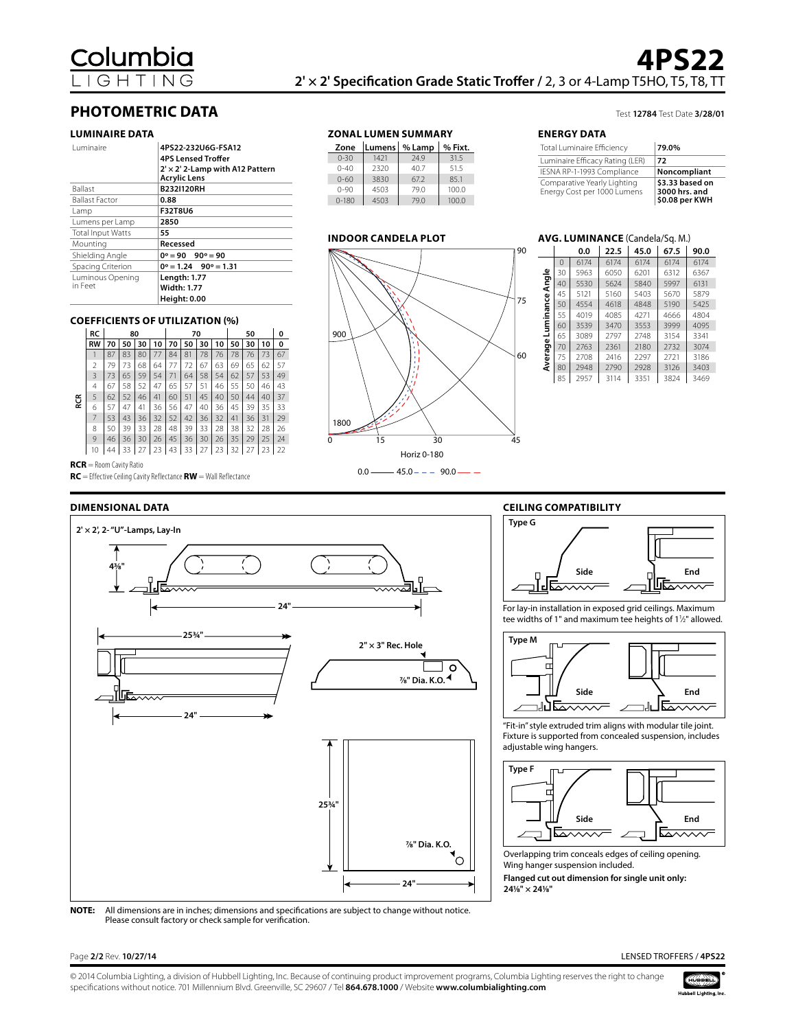# **PHOTOMETRIC DATA**

#### **LUMINAIRE DATA**

| Luminaire                   | 4PS22-232U6G-FSA12<br><b>4PS Lensed Troffer</b><br>$2' \times 2'$ 2-Lamp with A12 Pattern<br><b>Acrylic Lens</b> |
|-----------------------------|------------------------------------------------------------------------------------------------------------------|
| <b>Ballast</b>              | <b>B232I120RH</b>                                                                                                |
| <b>Ballast Factor</b>       | 0.88                                                                                                             |
| Lamp                        | <b>F32T8U6</b>                                                                                                   |
| Lumens per Lamp             | 2850                                                                                                             |
| <b>Total Input Watts</b>    | 55                                                                                                               |
| Mounting                    | Recessed                                                                                                         |
| Shielding Angle             | $0^\circ = 90$ $90^\circ = 90$                                                                                   |
| Spacing Criterion           | $0^\circ = 1.24$ 90 $^\circ = 1.31$                                                                              |
| Luminous Opening<br>in Feet | Length: 1.77<br><b>Width: 1.77</b><br><b>Height: 0.00</b>                                                        |

 $0-180$ 



**ZONAL LUMEN SUMMARY Zone Lumens % Lamp % Fixt.**  $1421$ 0-40 2320 40.7 51.5<br>0-60 3830 67.2 85.1 3830

0-90 4503 79.0 100.0<br>0-180 4503 79.0 100.0

Test **12784** Test Date **3/28/01**

#### **ENERGY DATA**

| Total Luminaire Efficiency                                 | 79.0%                                              |
|------------------------------------------------------------|----------------------------------------------------|
| Luminaire Efficacy Rating (LER)                            | 72                                                 |
| IESNA RP-1-1993 Compliance                                 | Noncompliant                                       |
| Comparative Yearly Lighting<br>Energy Cost per 1000 Lumens | \$3.33 based on<br>3000 hrs. and<br>\$0.08 per KWH |

### **AVG. LUMINANCE** (Candela/Sq. M.)

|                      |          | 0.0  | 22.5 | 45.0 | 67.5 | 90.0 |
|----------------------|----------|------|------|------|------|------|
| Angle                | $\Omega$ | 6174 | 6174 | 6174 | 6174 | 6174 |
|                      | 30       | 5963 | 6050 | 6201 | 6312 | 6367 |
|                      | 40       | 5530 | 5624 | 5840 | 5997 | 6131 |
|                      | 45       | 5121 | 5160 | 5403 | 5670 | 5879 |
| Luminance<br>Average | 50       | 4554 | 4618 | 4848 | 5190 | 5425 |
|                      | 55       | 4019 | 4085 | 4271 | 4666 | 4804 |
|                      | 60       | 3539 | 3470 | 3553 | 3999 | 4095 |
|                      | 65       | 3089 | 2797 | 2748 | 3154 | 3341 |
|                      | 70       | 2763 | 2361 | 2180 | 2732 | 3074 |
|                      | 75       | 2708 | 2416 | 2297 | 2721 | 3186 |
|                      | 80       | 2948 | 2790 | 2928 | 3126 | 3403 |
|                      | 85       | 2957 | 3114 | 3351 | 3824 | 3469 |

### **COEFFICIENTS OF UTILIZATION (%)**

|          | RC             |    | 80 |    |    |    | 70 |    |    | 50 |    |    | 0  |
|----------|----------------|----|----|----|----|----|----|----|----|----|----|----|----|
|          | <b>RW</b>      | 70 | 50 | 30 | 10 | 70 | 50 | 30 | 10 | 50 | 30 | 10 | 0  |
|          |                | 87 | 83 | 80 | 77 | 84 | 81 | 78 | 76 | 78 | 76 | 73 | 67 |
|          | $\overline{2}$ | 79 | 73 | 68 | 64 | 77 | 72 | 67 | 63 | 69 | 65 | 62 | 57 |
|          | 3              | 73 | 65 | 59 | 54 | 71 | 64 | 58 | 54 | 62 | 57 | 53 | 49 |
| RCR<br>R | $\overline{4}$ | 67 | 58 | 52 | 47 | 65 | 57 | 51 | 46 | 55 | 50 | 46 | 43 |
|          | 5              | 62 | 52 | 46 | 41 | 60 | 51 | 45 | 40 | 50 | 44 | 40 | 37 |
|          | 6              | 57 | 47 | 41 | 36 | 56 | 47 | 40 | 36 | 45 | 39 | 35 | 33 |
|          | 7              | 53 | 43 | 36 | 32 | 52 | 42 | 36 | 32 | 41 | 36 | 31 | 29 |
|          | 8              | 50 | 39 | 33 | 28 | 48 | 39 | 33 | 28 | 38 | 32 | 28 | 26 |
|          | 9              | 46 | 36 | 30 | 26 | 45 | 36 | 30 | 26 | 35 | 29 | 25 | 24 |
|          | 10             | 44 | 33 |    | 23 | 43 | 33 | 27 | 23 | 32 | 27 | 23 | 22 |
|          |                |    |    |    |    |    |    |    |    |    |    |    |    |

**RCR** = Room Cavity Ratio

**RC** = Effective Ceiling Cavity Reflectance **RW** = Wall Reflectance

#### **DIMENSIONAL DATA**





For lay-in installation in exposed grid ceilings. Maximum tee widths of 1" and maximum tee heights of 11/2" allowed.



"Fit-in" style extruded trim aligns with modular tile joint. Fixture is supported from concealed suspension, includes adjustable wing hangers.



Overlapping trim conceals edges of ceiling opening. Wing hanger suspension included.

**Flanged cut out dimension for single unit only: 241/8" × 241/8"**

**NOTE:** All dimensions are in inches; dimensions and specifications are subject to change without notice. Please consult factory or check sample for verification.

Page **2/2** Rev. **10/27/14** LENSED TROFFERS / **4PS22**

© 2014 Columbia Lighting, a division of Hubbell Lighting, Inc. Because of continuing product improvement programs, Columbia Lighting reserves the right to change specifications without notice. 701 Millennium Blvd. Greenville, SC 29607 / Tel **864.678.1000** / Website **www.columbialighting.com**